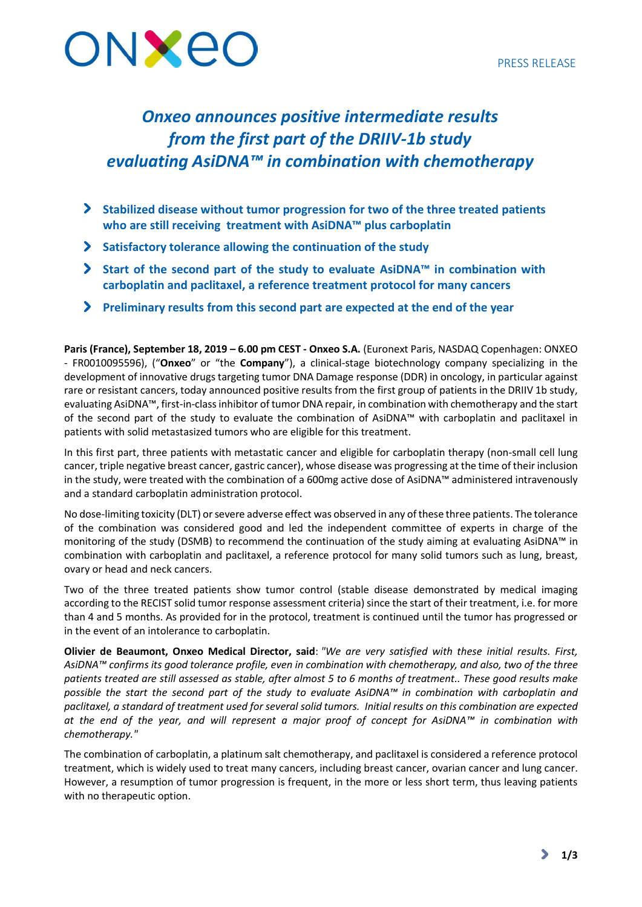

# *Onxeo announces positive intermediate results from the first part of the DRIIV-1b study evaluating AsiDNA™ in combination with chemotherapy*

- **Stabilized disease without tumor progression for two of the three treated patients who are still receiving treatment with AsiDNA™ plus carboplatin**
- **Satisfactory tolerance allowing the continuation of the study**
- **Start of the second part of the study to evaluate AsiDNA™ in combination with carboplatin and paclitaxel, a reference treatment protocol for many cancers**
- **Preliminary results from this second part are expected at the end of the year**

**Paris (France), September 18, 2019 – 6.00 pm CEST - Onxeo S.A.** (Euronext Paris, NASDAQ Copenhagen: ONXEO - FR0010095596), ("**Onxeo**" or "the **Company**"), a clinical-stage biotechnology company specializing in the development of innovative drugs targeting tumor DNA Damage response (DDR) in oncology, in particular against rare or resistant cancers, today announced positive results from the first group of patients in the DRIIV 1b study, evaluating AsiDNA™, first-in-class inhibitor of tumor DNA repair, in combination with chemotherapy and the start of the second part of the study to evaluate the combination of AsiDNA™ with carboplatin and paclitaxel in patients with solid metastasized tumors who are eligible for this treatment.

In this first part, three patients with metastatic cancer and eligible for carboplatin therapy (non-small cell lung cancer, triple negative breast cancer, gastric cancer), whose disease was progressing at the time of their inclusion in the study, were treated with the combination of a 600mg active dose of AsiDNA™ administered intravenously and a standard carboplatin administration protocol.

No dose-limiting toxicity (DLT) or severe adverse effect was observed in any of these three patients. The tolerance of the combination was considered good and led the independent committee of experts in charge of the monitoring of the study (DSMB) to recommend the continuation of the study aiming at evaluating AsiDNA™ in combination with carboplatin and paclitaxel, a reference protocol for many solid tumors such as lung, breast, ovary or head and neck cancers.

Two of the three treated patients show tumor control (stable disease demonstrated by medical imaging according to the RECIST solid tumor response assessment criteria) since the start of their treatment, i.e. for more than 4 and 5 months. As provided for in the protocol, treatment is continued until the tumor has progressed or in the event of an intolerance to carboplatin.

**Olivier de Beaumont, Onxeo Medical Director, said**: *"We are very satisfied with these initial results. First, AsiDNA™ confirms its good tolerance profile, even in combination with chemotherapy, and also, two of the three patients treated are still assessed as stable, after almost 5 to 6 months of treatment.. These good results make possible the start the second part of the study to evaluate AsiDNA™ in combination with carboplatin and paclitaxel, a standard of treatment used for several solid tumors. Initial results on this combination are expected at the end of the year, and will represent a major proof of concept for AsiDNA™ in combination with chemotherapy."*

The combination of carboplatin, a platinum salt chemotherapy, and paclitaxel is considered a reference protocol treatment, which is widely used to treat many cancers, including breast cancer, ovarian cancer and lung cancer. However, a resumption of tumor progression is frequent, in the more or less short term, thus leaving patients with no therapeutic option.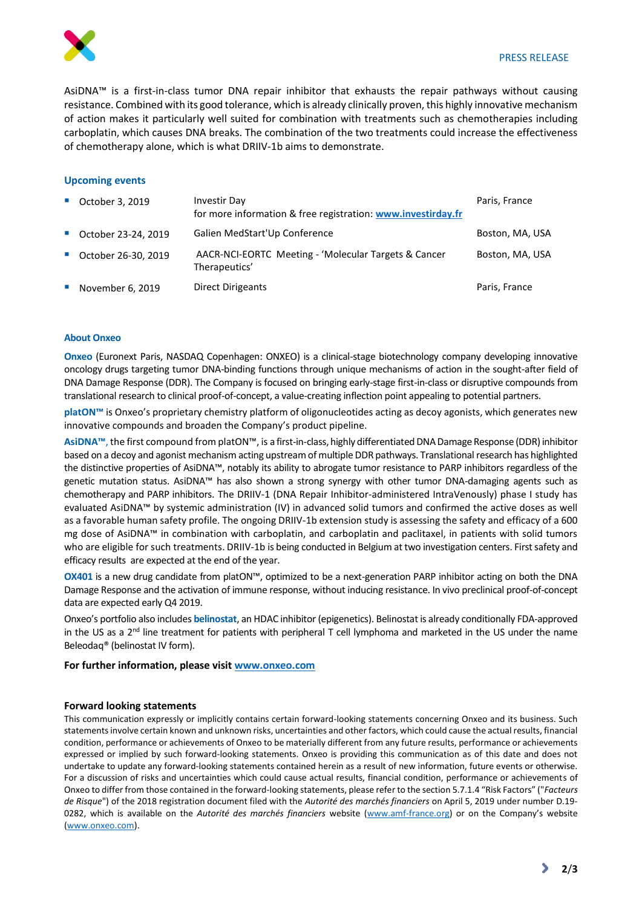

AsiDNA™ is a first-in-class tumor DNA repair inhibitor that exhausts the repair pathways without causing resistance. Combined with its good tolerance, which is already clinically proven, this highly innovative mechanism of action makes it particularly well suited for combination with treatments such as chemotherapies including carboplatin, which causes DNA breaks. The combination of the two treatments could increase the effectiveness of chemotherapy alone, which is what DRIIV-1b aims to demonstrate.

## **Upcoming events**

|            | • October 3, 2019     | <b>Investir Day</b><br>for more information & free registration: www.investirday.fr | Paris, France   |
|------------|-----------------------|-------------------------------------------------------------------------------------|-----------------|
|            | ■ October 23-24, 2019 | Galien MedStart'Up Conference                                                       | Boston, MA, USA |
|            | ■ October 26-30, 2019 | AACR-NCI-EORTC Meeting - 'Molecular Targets & Cancer<br>Therapeutics'               | Boston, MA, USA |
| <b>COL</b> | November 6, 2019      | Direct Dirigeants                                                                   | Paris, France   |

#### **About Onxeo**

**Onxeo** (Euronext Paris, NASDAQ Copenhagen: ONXEO) is a clinical-stage biotechnology company developing innovative oncology drugs targeting tumor DNA-binding functions through unique mechanisms of action in the sought-after field of DNA Damage Response (DDR). The Company is focused on bringing early-stage first-in-class or disruptive compounds from translational research to clinical proof-of-concept, a value-creating inflection point appealing to potential partners.

**platON™** is Onxeo's proprietary chemistry platform of oligonucleotides acting as decoy agonists, which generates new innovative compounds and broaden the Company's product pipeline.

**AsiDNA™**, the first compound from platON™, is a first-in-class, highly differentiated DNA Damage Response (DDR) inhibitor based on a decoy and agonist mechanism acting upstream of multiple DDR pathways. Translational research has highlighted the distinctive properties of AsiDNA™, notably its ability to abrogate tumor resistance to PARP inhibitors regardless of the genetic mutation status. AsiDNA™ has also shown a strong synergy with other tumor DNA-damaging agents such as chemotherapy and PARP inhibitors. The DRIIV-1 (DNA Repair Inhibitor-administered IntraVenously) phase I study has evaluated AsiDNA™ by systemic administration (IV) in advanced solid tumors and confirmed the active doses as well as a favorable human safety profile. The ongoing DRIIV-1b extension study is assessing the safety and efficacy of a 600 mg dose of AsiDNA™ in combination with carboplatin, and carboplatin and paclitaxel, in patients with solid tumors who are eligible for such treatments. DRIIV-1b is being conducted in Belgium at two investigation centers. First safety and efficacy results are expected at the end of the year.

**OX401** is a new drug candidate from platON™, optimized to be a next-generation PARP inhibitor acting on both the DNA Damage Response and the activation of immune response, without inducing resistance. In vivo preclinical proof-of-concept data are expected early Q4 2019.

Onxeo's portfolio also includes **belinostat**, an HDAC inhibitor (epigenetics). Belinostat is already conditionally FDA-approved in the US as a  $2<sup>nd</sup>$  line treatment for patients with peripheral T cell lymphoma and marketed in the US under the name Beleodaq® (belinostat IV form).

## **For further information, please visi[t www.onxeo.com](http://www.onxeo.com/)**

#### **Forward looking statements**

This communication expressly or implicitly contains certain forward-looking statements concerning Onxeo and its business. Such statements involve certain known and unknown risks, uncertainties and other factors, which could cause the actual results, financial condition, performance or achievements of Onxeo to be materially different from any future results, performance or achievements expressed or implied by such forward-looking statements. Onxeo is providing this communication as of this date and does not undertake to update any forward-looking statements contained herein as a result of new information, future events or otherwise. For a discussion of risks and uncertainties which could cause actual results, financial condition, performance or achievements of Onxeo to differ from those contained in the forward-looking statements, please refer to the section 5.7.1.4 "Risk Factors" ("*Facteurs de Risque*") of the 2018 registration document filed with the *Autorité des marchés financiers* on April 5, 2019 under number D.19- 0282, which is available on the *Autorité des marchés financiers* website (www.amf-france.org) or on the Company's website [\(www.onxeo.com\)](http://www.onxeo.com/).